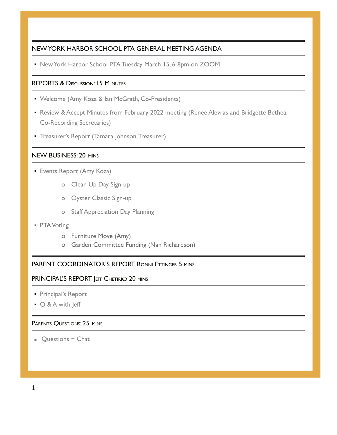### NEW YORK HARBOR SCHOOL PTA GENERAL MEETING AGENDA

▪ New York Harbor School PTA Tuesday March 15, 6-8pm on ZOOM

# REPORTS & DISCUSSION: 15 MINUTES

- Welcome (Amy Koza & Ian McGrath, Co-Presidents)
- **Review & Accept Minutes from February 2022 meeting (Renee Alevras and Bridgette Bethea,** Co-Recording Secretaries)
- **Treasurer's Report (Tamara Johnson, Treasurer)**

## NEW BUSINESS: 20 MINS

- **Events Report (Amy Koza)** 
	- o Clean Up Day Sign-up
	- o Oyster Classic Sign-up
	- o Staff Appreciation Day Planning
- **PTA Voting** 
	- o Furniture Move (Amy)
	- o Garden Committee Funding (Nan Richardson)

# PARENT COORDINATOR'S REPORT RONNI ETTINGER 5 MINS

#### PRINCIPAL'S REPORT JEFF CHETIRKO 20 MINS

- Principal's Report
- Q & A with Jeff

#### PARENTS QUESTIONS: 25 MINS

■ Questions + Chat